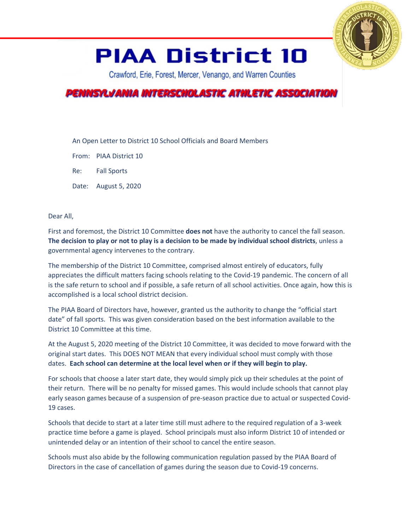

## **PIAA District 10**

Crawford, Erie, Forest, Mercer, Venango, and Warren Counties

## PENNSYLVANIA INTERSCHOLASTIC ATHLETIC ASSOCIATION

An Open Letter to District 10 School Officials and Board Members

From: PIAA District 10

Re: Fall Sports

Date: August 5, 2020

Dear All,

First and foremost, the District 10 Committee **does not** have the authority to cancel the fall season. **The decision to play or not to play is a decision to be made by individual school districts**, unless a governmental agency intervenes to the contrary.

The membership of the District 10 Committee, comprised almost entirely of educators, fully appreciates the difficult matters facing schools relating to the Covid-19 pandemic. The concern of all is the safe return to school and if possible, a safe return of all school activities. Once again, how this is accomplished is a local school district decision.

The PIAA Board of Directors have, however, granted us the authority to change the "official start date" of fall sports. This was given consideration based on the best information available to the District 10 Committee at this time.

At the August 5, 2020 meeting of the District 10 Committee, it was decided to move forward with the original start dates. This DOES NOT MEAN that every individual school must comply with those dates. **Each school can determine at the local level when or if they will begin to play.**

For schools that choose a later start date, they would simply pick up their schedules at the point of their return. There will be no penalty for missed games. This would include schools that cannot play early season games because of a suspension of pre-season practice due to actual or suspected Covid-19 cases.

Schools that decide to start at a later time still must adhere to the required regulation of a 3-week practice time before a game is played. School principals must also inform District 10 of intended or unintended delay or an intention of their school to cancel the entire season.

Schools must also abide by the following communication regulation passed by the PIAA Board of Directors in the case of cancellation of games during the season due to Covid-19 concerns.